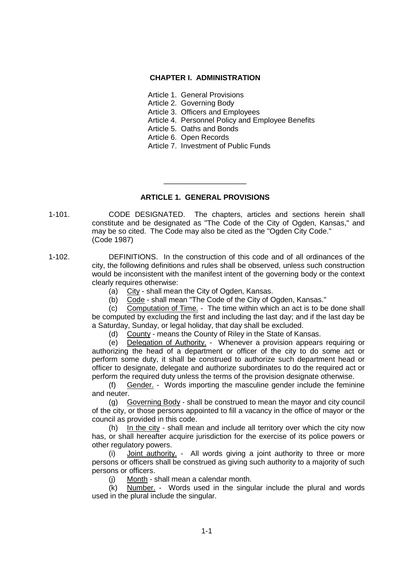## **CHAPTER I. ADMINISTRATION**

- Article 1. General Provisions
- Article 2. Governing Body
- Article 3. Officers and Employees
- Article 4. Personnel Policy and Employee Benefits
- Article 5. Oaths and Bonds
- Article 6. Open Records
- Article 7. Investment of Public Funds

# **ARTICLE 1. GENERAL PROVISIONS**

\_\_\_\_\_\_\_\_\_\_\_\_\_\_\_\_\_\_\_\_

- 1-101. CODE DESIGNATED. The chapters, articles and sections herein shall constitute and be designated as "The Code of the City of Ogden, Kansas," and may be so cited. The Code may also be cited as the "Ogden City Code." (Code 1987)
- 1-102. DEFINITIONS. In the construction of this code and of all ordinances of the city, the following definitions and rules shall be observed, unless such construction would be inconsistent with the manifest intent of the governing body or the context clearly requires otherwise:
	- (a)  $City shall mean the City of Ogden, Kansas.$
	- (b) Code shall mean "The Code of the City of Ogden, Kansas."

(c) Computation of Time. - The time within which an act is to be done shall be computed by excluding the first and including the last day; and if the last day be a Saturday, Sunday, or legal holiday, that day shall be excluded.

(d) County - means the County of Riley in the State of Kansas.

(e) Delegation of Authority. - Whenever a provision appears requiring or authorizing the head of a department or officer of the city to do some act or perform some duty, it shall be construed to authorize such department head or officer to designate, delegate and authorize subordinates to do the required act or perform the required duty unless the terms of the provision designate otherwise.

(f) Gender. - Words importing the masculine gender include the feminine and neuter.

(g) Governing Body - shall be construed to mean the mayor and city council of the city, or those persons appointed to fill a vacancy in the office of mayor or the council as provided in this code.

(h) In the city - shall mean and include all territory over which the city now has, or shall hereafter acquire jurisdiction for the exercise of its police powers or other regulatory powers.

(i) Joint authority. - All words giving a joint authority to three or more persons or officers shall be construed as giving such authority to a majority of such persons or officers.

(j) Month - shall mean a calendar month.

(k) Number. - Words used in the singular include the plural and words used in the plural include the singular.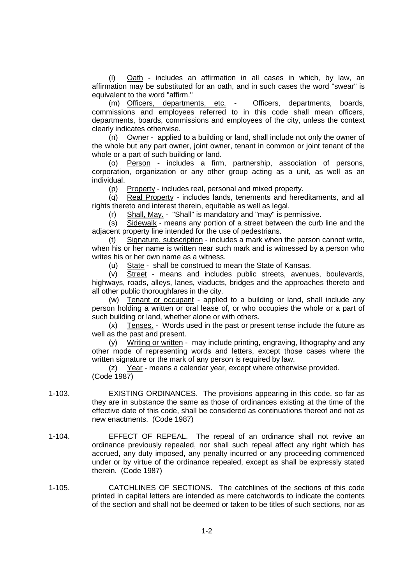(l) Oath - includes an affirmation in all cases in which, by law, an affirmation may be substituted for an oath, and in such cases the word "swear" is equivalent to the word "affirm."

(m) Officers, departments, etc. - Officers, departments, boards, commissions and employees referred to in this code shall mean officers, departments, boards, commissions and employees of the city, unless the context clearly indicates otherwise.

(n) Owner - applied to a building or land, shall include not only the owner of the whole but any part owner, joint owner, tenant in common or joint tenant of the whole or a part of such building or land.

(o) Person - includes a firm, partnership, association of persons, corporation, organization or any other group acting as a unit, as well as an individual.

(p) Property - includes real, personal and mixed property.

(q) Real Property - includes lands, tenements and hereditaments, and all rights thereto and interest therein, equitable as well as legal.

(r) Shall, May. - "Shall" is mandatory and "may" is permissive.

(s) Sidewalk - means any portion of a street between the curb line and the adjacent property line intended for the use of pedestrians.

(t) Signature, subscription - includes a mark when the person cannot write, when his or her name is written near such mark and is witnessed by a person who writes his or her own name as a witness.

(u) State - shall be construed to mean the State of Kansas.

(v) Street - means and includes public streets, avenues, boulevards, highways, roads, alleys, lanes, viaducts, bridges and the approaches thereto and all other public thoroughfares in the city.

(w) Tenant or occupant - applied to a building or land, shall include any person holding a written or oral lease of, or who occupies the whole or a part of such building or land, whether alone or with others.

(x) Tenses. - Words used in the past or present tense include the future as well as the past and present.

(y) Writing or written - may include printing, engraving, lithography and any other mode of representing words and letters, except those cases where the written signature or the mark of any person is required by law.

(z) Year - means a calendar year, except where otherwise provided. (Code 1987)

- 1-103. EXISTING ORDINANCES. The provisions appearing in this code, so far as they are in substance the same as those of ordinances existing at the time of the effective date of this code, shall be considered as continuations thereof and not as new enactments. (Code 1987)
- 1-104. EFFECT OF REPEAL. The repeal of an ordinance shall not revive an ordinance previously repealed, nor shall such repeal affect any right which has accrued, any duty imposed, any penalty incurred or any proceeding commenced under or by virtue of the ordinance repealed, except as shall be expressly stated therein. (Code 1987)
- 1-105. CATCHLINES OF SECTIONS. The catchlines of the sections of this code printed in capital letters are intended as mere catchwords to indicate the contents of the section and shall not be deemed or taken to be titles of such sections, nor as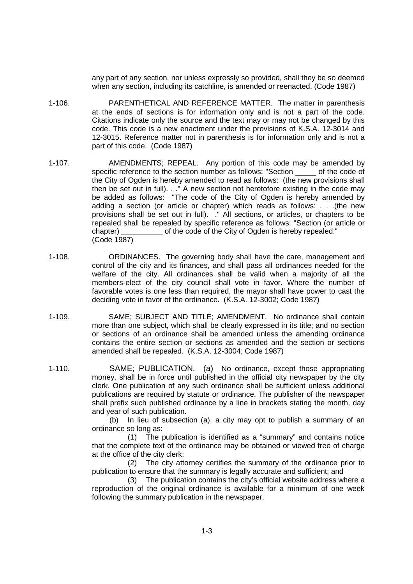any part of any section, nor unless expressly so provided, shall they be so deemed when any section, including its catchline, is amended or reenacted. (Code 1987)

- 1-106. PARENTHETICAL AND REFERENCE MATTER. The matter in parenthesis at the ends of sections is for information only and is not a part of the code. Citations indicate only the source and the text may or may not be changed by this code. This code is a new enactment under the provisions of K.S.A. 12-3014 and 12-3015. Reference matter not in parenthesis is for information only and is not a part of this code. (Code 1987)
- 1-107. AMENDMENTS; REPEAL. Any portion of this code may be amended by specific reference to the section number as follows: "Section of the code of the City of Ogden is hereby amended to read as follows: (the new provisions shall then be set out in full). . ." A new section not heretofore existing in the code may be added as follows: "The code of the City of Ogden is hereby amended by adding a section (or article or chapter) which reads as follows: . . .(the new provisions shall be set out in full). ." All sections, or articles, or chapters to be repealed shall be repealed by specific reference as follows: "Section (or article or chapter) \_\_\_\_\_\_\_\_\_\_ of the code of the City of Ogden is hereby repealed." (Code 1987)
- 1-108. ORDINANCES. The governing body shall have the care, management and control of the city and its finances, and shall pass all ordinances needed for the welfare of the city. All ordinances shall be valid when a majority of all the members-elect of the city council shall vote in favor. Where the number of favorable votes is one less than required, the mayor shall have power to cast the deciding vote in favor of the ordinance. (K.S.A. 12-3002; Code 1987)
- 1-109. SAME; SUBJECT AND TITLE; AMENDMENT. No ordinance shall contain more than one subject, which shall be clearly expressed in its title; and no section or sections of an ordinance shall be amended unless the amending ordinance contains the entire section or sections as amended and the section or sections amended shall be repealed. (K.S.A. 12-3004; Code 1987)
- 1-110. SAME; PUBLICATION. (a) No ordinance, except those appropriating money, shall be in force until published in the official city newspaper by the city clerk. One publication of any such ordinance shall be sufficient unless additional publications are required by statute or ordinance. The publisher of the newspaper shall prefix such published ordinance by a line in brackets stating the month, day and year of such publication.

(b) In lieu of subsection (a), a city may opt to publish a summary of an ordinance so long as:

(1) The publication is identified as a "summary" and contains notice that the complete text of the ordinance may be obtained or viewed free of charge at the office of the city clerk;

(2) The city attorney certifies the summary of the ordinance prior to publication to ensure that the summary is legally accurate and sufficient; and

(3) The publication contains the city's official website address where a reproduction of the original ordinance is available for a minimum of one week following the summary publication in the newspaper.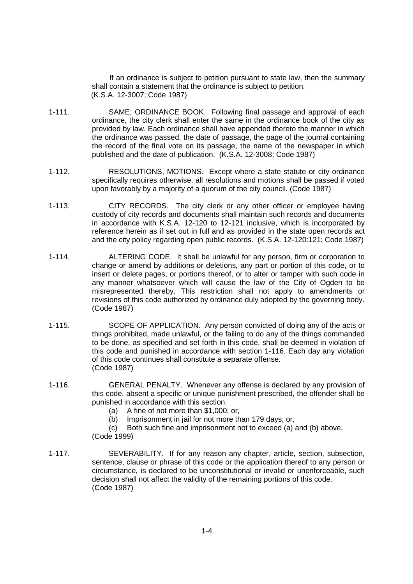If an ordinance is subject to petition pursuant to state law, then the summary shall contain a statement that the ordinance is subject to petition. (K.S.A. 12-3007; Code 1987)

- 1-111. SAME; ORDINANCE BOOK. Following final passage and approval of each ordinance, the city clerk shall enter the same in the ordinance book of the city as provided by law. Each ordinance shall have appended thereto the manner in which the ordinance was passed, the date of passage, the page of the journal containing the record of the final vote on its passage, the name of the newspaper in which published and the date of publication. (K.S.A. 12-3008; Code 1987)
- 1-112. RESOLUTIONS, MOTIONS. Except where a state statute or city ordinance specifically requires otherwise, all resolutions and motions shall be passed if voted upon favorably by a majority of a quorum of the city council. (Code 1987)
- 1-113. CITY RECORDS. The city clerk or any other officer or employee having custody of city records and documents shall maintain such records and documents in accordance with K.S.A. 12-120 to 12-121 inclusive, which is incorporated by reference herein as if set out in full and as provided in the state open records act and the city policy regarding open public records. (K.S.A. 12-120:121; Code 1987)
- 1-114. ALTERING CODE. It shall be unlawful for any person, firm or corporation to change or amend by additions or deletions, any part or portion of this code, or to insert or delete pages, or portions thereof, or to alter or tamper with such code in any manner whatsoever which will cause the law of the City of Ogden to be misrepresented thereby. This restriction shall not apply to amendments or revisions of this code authorized by ordinance duly adopted by the governing body. (Code 1987)
- 1-115. SCOPE OF APPLICATION. Any person convicted of doing any of the acts or things prohibited, made unlawful, or the failing to do any of the things commanded to be done, as specified and set forth in this code, shall be deemed in violation of this code and punished in accordance with section 1-116. Each day any violation of this code continues shall constitute a separate offense. (Code 1987)
- 1-116. GENERAL PENALTY. Whenever any offense is declared by any provision of this code, absent a specific or unique punishment prescribed, the offender shall be punished in accordance with this section.
	- (a) A fine of not more than \$1,000; or,
	- (b) Imprisonment in jail for not more than 179 days; or,
	- (c) Both such fine and imprisonment not to exceed (a) and (b) above. (Code 1999)
- 1-117. SEVERABILITY. If for any reason any chapter, article, section, subsection, sentence, clause or phrase of this code or the application thereof to any person or circumstance, is declared to be unconstitutional or invalid or unenforceable, such decision shall not affect the validity of the remaining portions of this code. (Code 1987)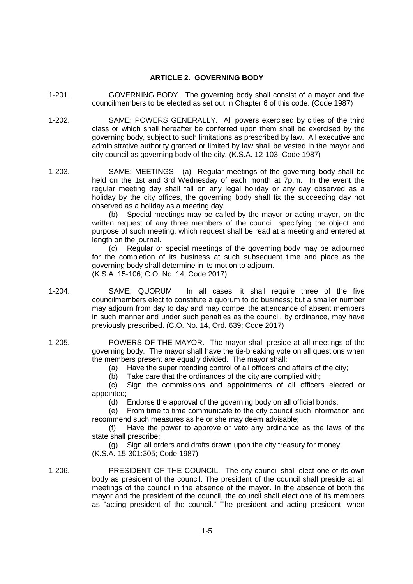## **ARTICLE 2. GOVERNING BODY**

- 1-201. GOVERNING BODY. The governing body shall consist of a mayor and five councilmembers to be elected as set out in Chapter 6 of this code. (Code 1987)
- 1-202. SAME; POWERS GENERALLY. All powers exercised by cities of the third class or which shall hereafter be conferred upon them shall be exercised by the governing body, subject to such limitations as prescribed by law. All executive and administrative authority granted or limited by law shall be vested in the mayor and city council as governing body of the city. (K.S.A. 12-103; Code 1987)
- 1-203. SAME; MEETINGS. (a) Regular meetings of the governing body shall be held on the 1st and 3rd Wednesday of each month at 7p.m. In the event the regular meeting day shall fall on any legal holiday or any day observed as a holiday by the city offices, the governing body shall fix the succeeding day not observed as a holiday as a meeting day.

(b) Special meetings may be called by the mayor or acting mayor, on the written request of any three members of the council, specifying the object and purpose of such meeting, which request shall be read at a meeting and entered at length on the journal.

(c) Regular or special meetings of the governing body may be adjourned for the completion of its business at such subsequent time and place as the governing body shall determine in its motion to adjourn. (K.S.A. 15-106; C.O. No. 14; Code 2017)

- 1-204. SAME; QUORUM. In all cases, it shall require three of the five councilmembers elect to constitute a quorum to do business; but a smaller number may adjourn from day to day and may compel the attendance of absent members in such manner and under such penalties as the council, by ordinance, may have previously prescribed. (C.O. No. 14, Ord. 639; Code 2017)
- 1-205. POWERS OF THE MAYOR. The mayor shall preside at all meetings of the governing body. The mayor shall have the tie-breaking vote on all questions when the members present are equally divided. The mayor shall:

(a) Have the superintending control of all officers and affairs of the city;

(b) Take care that the ordinances of the city are complied with;

(c) Sign the commissions and appointments of all officers elected or appointed;

(d) Endorse the approval of the governing body on all official bonds;

(e) From time to time communicate to the city council such information and recommend such measures as he or she may deem advisable;

(f) Have the power to approve or veto any ordinance as the laws of the state shall prescribe;

(g) Sign all orders and drafts drawn upon the city treasury for money. (K.S.A. 15-301:305; Code 1987)

1-206. PRESIDENT OF THE COUNCIL. The city council shall elect one of its own body as president of the council. The president of the council shall preside at all meetings of the council in the absence of the mayor. In the absence of both the mayor and the president of the council, the council shall elect one of its members as "acting president of the council." The president and acting president, when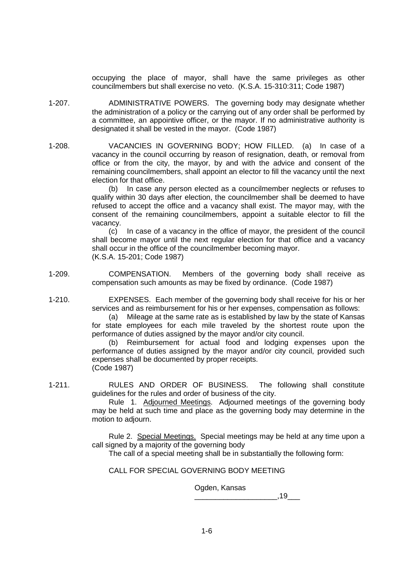occupying the place of mayor, shall have the same privileges as other councilmembers but shall exercise no veto. (K.S.A. 15-310:311; Code 1987)

- 1-207. ADMINISTRATIVE POWERS. The governing body may designate whether the administration of a policy or the carrying out of any order shall be performed by a committee, an appointive officer, or the mayor. If no administrative authority is designated it shall be vested in the mayor. (Code 1987)
- 1-208. VACANCIES IN GOVERNING BODY; HOW FILLED. (a) In case of a vacancy in the council occurring by reason of resignation, death, or removal from office or from the city, the mayor, by and with the advice and consent of the remaining councilmembers, shall appoint an elector to fill the vacancy until the next election for that office.

(b) In case any person elected as a councilmember neglects or refuses to qualify within 30 days after election, the councilmember shall be deemed to have refused to accept the office and a vacancy shall exist. The mayor may, with the consent of the remaining councilmembers, appoint a suitable elector to fill the vacancy.

(c) In case of a vacancy in the office of mayor, the president of the council shall become mayor until the next regular election for that office and a vacancy shall occur in the office of the councilmember becoming mayor. (K.S.A. 15-201; Code 1987)

1-209. COMPENSATION. Members of the governing body shall receive as compensation such amounts as may be fixed by ordinance. (Code 1987)

1-210. EXPENSES. Each member of the governing body shall receive for his or her services and as reimbursement for his or her expenses, compensation as follows:

> (a) Mileage at the same rate as is established by law by the state of Kansas for state employees for each mile traveled by the shortest route upon the performance of duties assigned by the mayor and/or city council.

> (b) Reimbursement for actual food and lodging expenses upon the performance of duties assigned by the mayor and/or city council, provided such expenses shall be documented by proper receipts. (Code 1987)

1-211. RULES AND ORDER OF BUSINESS. The following shall constitute guidelines for the rules and order of business of the city.

Rule 1. Adjourned Meetings. Adjourned meetings of the governing body may be held at such time and place as the governing body may determine in the motion to adjourn.

Rule 2. Special Meetings. Special meetings may be held at any time upon a call signed by a majority of the governing body

The call of a special meeting shall be in substantially the following form:

CALL FOR SPECIAL GOVERNING BODY MEETING

Ogden, Kansas

 $\blacksquare$  .19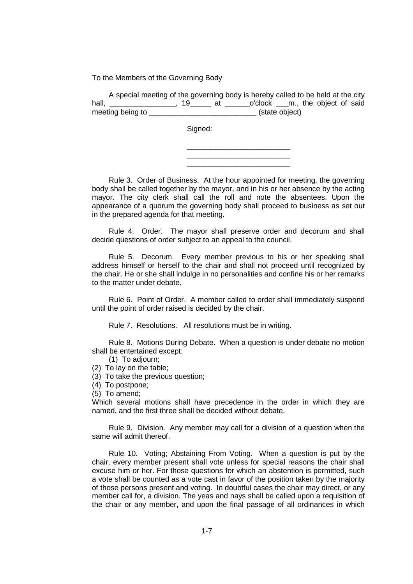To the Members of the Governing Body

| A special meeting of the governing body is hereby called to be held at the city |                |    |                                   |  |  |  |  |
|---------------------------------------------------------------------------------|----------------|----|-----------------------------------|--|--|--|--|
| hall,                                                                           | 19             | at | o'clock ___m., the object of said |  |  |  |  |
| meeting being to                                                                | (state object) |    |                                   |  |  |  |  |

Signed:

\_\_\_\_\_\_\_\_\_\_\_\_\_\_\_\_\_\_\_\_\_\_\_\_\_ \_\_\_\_\_\_\_\_\_\_\_\_\_\_\_\_\_\_\_\_\_\_\_\_\_ \_\_\_\_\_\_\_\_\_\_\_\_\_\_\_\_\_\_\_\_\_\_\_\_\_

Rule 3. Order of Business. At the hour appointed for meeting, the governing body shall be called together by the mayor, and in his or her absence by the acting mayor. The city clerk shall call the roll and note the absentees. Upon the appearance of a quorum the governing body shall proceed to business as set out in the prepared agenda for that meeting.

Rule 4. Order. The mayor shall preserve order and decorum and shall decide questions of order subject to an appeal to the council.

Rule 5. Decorum. Every member previous to his or her speaking shall address himself or herself to the chair and shall not proceed until recognized by the chair. He or she shall indulge in no personalities and confine his or her remarks to the matter under debate.

Rule 6. Point of Order. A member called to order shall immediately suspend until the point of order raised is decided by the chair.

Rule 7. Resolutions. All resolutions must be in writing.

Rule 8. Motions During Debate. When a question is under debate no motion shall be entertained except:

(1) To adjourn;

- (2) To lay on the table;
- (3) To take the previous question;

(4) To postpone;

(5) To amend;

Which several motions shall have precedence in the order in which they are named, and the first three shall be decided without debate.

Rule 9. Division. Any member may call for a division of a question when the same will admit thereof.

Rule 10. Voting; Abstaining From Voting. When a question is put by the chair, every member present shall vote unless for special reasons the chair shall excuse him or her. For those questions for which an abstention is permitted, such a vote shall be counted as a vote cast in favor of the position taken by the majority of those persons present and voting. In doubtful cases the chair may direct, or any member call for, a division. The yeas and nays shall be called upon a requisition of the chair or any member, and upon the final passage of all ordinances in which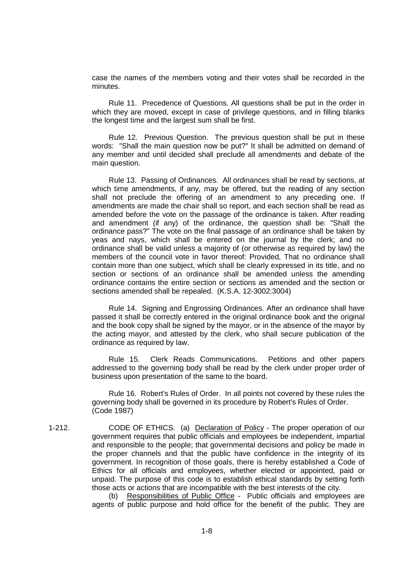case the names of the members voting and their votes shall be recorded in the minutes.

Rule 11. Precedence of Questions. All questions shall be put in the order in which they are moved, except in case of privilege questions, and in filling blanks the longest time and the largest sum shall be first.

Rule 12. Previous Question. The previous question shall be put in these words: "Shall the main question now be put?" It shall be admitted on demand of any member and until decided shall preclude all amendments and debate of the main question.

Rule 13. Passing of Ordinances. All ordinances shall be read by sections, at which time amendments, if any, may be offered, but the reading of any section shall not preclude the offering of an amendment to any preceding one. If amendments are made the chair shall so report, and each section shall be read as amended before the vote on the passage of the ordinance is taken. After reading and amendment (if any) of the ordinance, the question shall be: "Shall the ordinance pass?" The vote on the final passage of an ordinance shall be taken by yeas and nays, which shall be entered on the journal by the clerk; and no ordinance shall be valid unless a majority of (or otherwise as required by law) the members of the council vote in favor thereof: Provided, That no ordinance shall contain more than one subject, which shall be clearly expressed in its title, and no section or sections of an ordinance shall be amended unless the amending ordinance contains the entire section or sections as amended and the section or sections amended shall be repealed. (K.S.A. 12-3002:3004)

Rule 14. Signing and Engrossing Ordinances. After an ordinance shall have passed it shall be correctly entered in the original ordinance book and the original and the book copy shall be signed by the mayor, or in the absence of the mayor by the acting mayor, and attested by the clerk, who shall secure publication of the ordinance as required by law.

Rule 15. Clerk Reads Communications. Petitions and other papers addressed to the governing body shall be read by the clerk under proper order of business upon presentation of the same to the board.

Rule 16. Robert's Rules of Order. In all points not covered by these rules the governing body shall be governed in its procedure by Robert's Rules of Order. (Code 1987)

1-212. CODE OF ETHICS. (a) Declaration of Policy - The proper operation of our government requires that public officials and employees be independent, impartial and responsible to the people; that governmental decisions and policy be made in the proper channels and that the public have confidence in the integrity of its government. In recognition of those goals, there is hereby established a Code of Ethics for all officials and employees, whether elected or appointed, paid or unpaid. The purpose of this code is to establish ethical standards by setting forth those acts or actions that are incompatible with the best interests of the city.

> (b) Responsibilities of Public Office - Public officials and employees are agents of public purpose and hold office for the benefit of the public. They are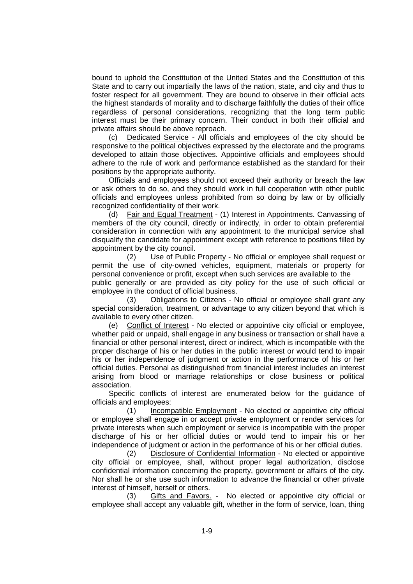bound to uphold the Constitution of the United States and the Constitution of this State and to carry out impartially the laws of the nation, state, and city and thus to foster respect for all government. They are bound to observe in their official acts the highest standards of morality and to discharge faithfully the duties of their office regardless of personal considerations, recognizing that the long term public interest must be their primary concern. Their conduct in both their official and private affairs should be above reproach.

(c) Dedicated Service - All officials and employees of the city should be responsive to the political objectives expressed by the electorate and the programs developed to attain those objectives. Appointive officials and employees should adhere to the rule of work and performance established as the standard for their positions by the appropriate authority.

Officials and employees should not exceed their authority or breach the law or ask others to do so, and they should work in full cooperation with other public officials and employees unless prohibited from so doing by law or by officially recognized confidentiality of their work.

(d) Fair and Equal Treatment - (1) Interest in Appointments. Canvassing of members of the city council, directly or indirectly, in order to obtain preferential consideration in connection with any appointment to the municipal service shall disqualify the candidate for appointment except with reference to positions filled by appointment by the city council.

(2) Use of Public Property - No official or employee shall request or permit the use of city-owned vehicles, equipment, materials or property for personal convenience or profit, except when such services are available to the public generally or are provided as city policy for the use of such official or employee in the conduct of official business.

(3) Obligations to Citizens - No official or employee shall grant any special consideration, treatment, or advantage to any citizen beyond that which is available to every other citizen.

(e) Conflict of Interest - No elected or appointive city official or employee, whether paid or unpaid, shall engage in any business or transaction or shall have a financial or other personal interest, direct or indirect, which is incompatible with the proper discharge of his or her duties in the public interest or would tend to impair his or her independence of judgment or action in the performance of his or her official duties. Personal as distinguished from financial interest includes an interest arising from blood or marriage relationships or close business or political association.

Specific conflicts of interest are enumerated below for the guidance of officials and employees:

(1) Incompatible Employment - No elected or appointive city official or employee shall engage in or accept private employment or render services for private interests when such employment or service is incompatible with the proper discharge of his or her official duties or would tend to impair his or her independence of judgment or action in the performance of his or her official duties.

(2) Disclosure of Confidential Information - No elected or appointive city official or employee, shall, without proper legal authorization, disclose confidential information concerning the property, government or affairs of the city. Nor shall he or she use such information to advance the financial or other private interest of himself, herself or others.

(3) Gifts and Favors. - No elected or appointive city official or employee shall accept any valuable gift, whether in the form of service, loan, thing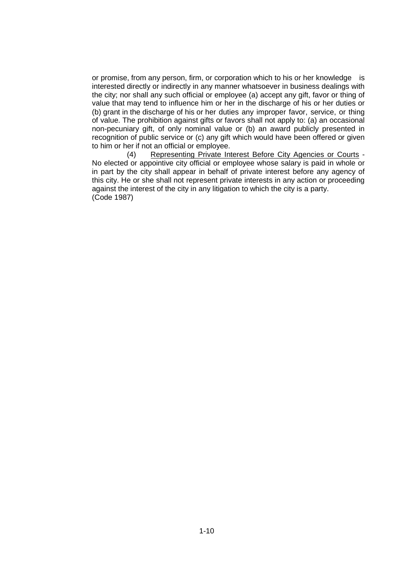or promise, from any person, firm, or corporation which to his or her knowledge is interested directly or indirectly in any manner whatsoever in business dealings with the city; nor shall any such official or employee (a) accept any gift, favor or thing of value that may tend to influence him or her in the discharge of his or her duties or (b) grant in the discharge of his or her duties any improper favor, service, or thing of value. The prohibition against gifts or favors shall not apply to: (a) an occasional non-pecuniary gift, of only nominal value or (b) an award publicly presented in recognition of public service or (c) any gift which would have been offered or given to him or her if not an official or employee.

(4) Representing Private Interest Before City Agencies or Courts - No elected or appointive city official or employee whose salary is paid in whole or in part by the city shall appear in behalf of private interest before any agency of this city. He or she shall not represent private interests in any action or proceeding against the interest of the city in any litigation to which the city is a party. (Code 1987)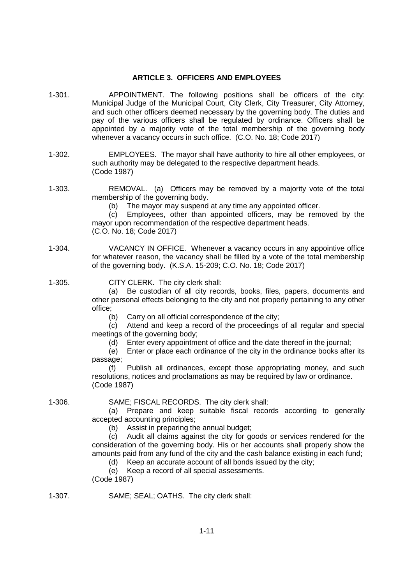# **ARTICLE 3. OFFICERS AND EMPLOYEES**

- 1-301. APPOINTMENT. The following positions shall be officers of the city: Municipal Judge of the Municipal Court, City Clerk, City Treasurer, City Attorney, and such other officers deemed necessary by the governing body. The duties and pay of the various officers shall be regulated by ordinance. Officers shall be appointed by a majority vote of the total membership of the governing body whenever a vacancy occurs in such office. (C.O. No. 18; Code 2017)
- 1-302. EMPLOYEES. The mayor shall have authority to hire all other employees, or such authority may be delegated to the respective department heads. (Code 1987)
- 1-303. REMOVAL. (a) Officers may be removed by a majority vote of the total membership of the governing body.

(b) The mayor may suspend at any time any appointed officer.

(c) Employees, other than appointed officers, may be removed by the mayor upon recommendation of the respective department heads. (C.O. No. 18; Code 2017)

1-304. VACANCY IN OFFICE. Whenever a vacancy occurs in any appointive office for whatever reason, the vacancy shall be filled by a vote of the total membership of the governing body. (K.S.A. 15-209; C.O. No. 18; Code 2017)

1-305. CITY CLERK. The city clerk shall:

(a) Be custodian of all city records, books, files, papers, documents and other personal effects belonging to the city and not properly pertaining to any other office;

(b) Carry on all official correspondence of the city;

(c) Attend and keep a record of the proceedings of all regular and special meetings of the governing body;

(d) Enter every appointment of office and the date thereof in the journal;

(e) Enter or place each ordinance of the city in the ordinance books after its passage;

(f) Publish all ordinances, except those appropriating money, and such resolutions, notices and proclamations as may be required by law or ordinance. (Code 1987)

1-306. SAME; FISCAL RECORDS. The city clerk shall:

(a) Prepare and keep suitable fiscal records according to generally accepted accounting principles;

(b) Assist in preparing the annual budget;

(c) Audit all claims against the city for goods or services rendered for the consideration of the governing body. His or her accounts shall properly show the amounts paid from any fund of the city and the cash balance existing in each fund;

(d) Keep an accurate account of all bonds issued by the city;

(e) Keep a record of all special assessments.

(Code 1987)

1-307. SAME; SEAL; OATHS. The city clerk shall: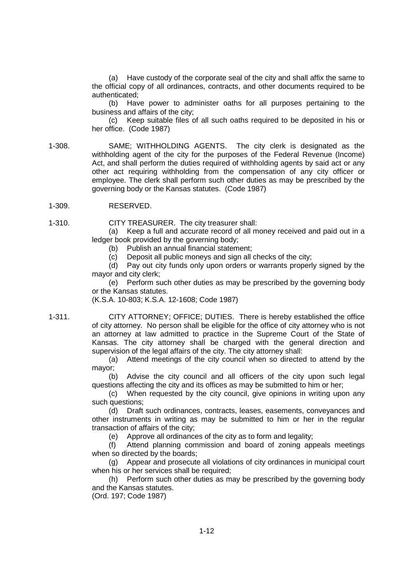(a) Have custody of the corporate seal of the city and shall affix the same to the official copy of all ordinances, contracts, and other documents required to be authenticated;

(b) Have power to administer oaths for all purposes pertaining to the business and affairs of the city;

(c) Keep suitable files of all such oaths required to be deposited in his or her office. (Code 1987)

1-308. SAME; WITHHOLDING AGENTS. The city clerk is designated as the withholding agent of the city for the purposes of the Federal Revenue (Income) Act, and shall perform the duties required of withholding agents by said act or any other act requiring withholding from the compensation of any city officer or employee. The clerk shall perform such other duties as may be prescribed by the governing body or the Kansas statutes. (Code 1987)

#### 1-309. RESERVED.

1-310. CITY TREASURER. The city treasurer shall:

(a) Keep a full and accurate record of all money received and paid out in a ledger book provided by the governing body;

(b) Publish an annual financial statement;

(c) Deposit all public moneys and sign all checks of the city;

(d) Pay out city funds only upon orders or warrants properly signed by the mayor and city clerk;

(e) Perform such other duties as may be prescribed by the governing body or the Kansas statutes.

(K.S.A. 10-803; K.S.A. 12-1608; Code 1987)

1-311. CITY ATTORNEY; OFFICE; DUTIES. There is hereby established the office of city attorney. No person shall be eligible for the office of city attorney who is not an attorney at law admitted to practice in the Supreme Court of the State of Kansas. The city attorney shall be charged with the general direction and supervision of the legal affairs of the city. The city attorney shall:

(a) Attend meetings of the city council when so directed to attend by the mayor;

(b) Advise the city council and all officers of the city upon such legal questions affecting the city and its offices as may be submitted to him or her;

(c) When requested by the city council, give opinions in writing upon any such questions:

(d) Draft such ordinances, contracts, leases, easements, conveyances and other instruments in writing as may be submitted to him or her in the regular transaction of affairs of the city;

(e) Approve all ordinances of the city as to form and legality;

(f) Attend planning commission and board of zoning appeals meetings when so directed by the boards;

(g) Appear and prosecute all violations of city ordinances in municipal court when his or her services shall be required;

(h) Perform such other duties as may be prescribed by the governing body and the Kansas statutes.

(Ord. 197; Code 1987)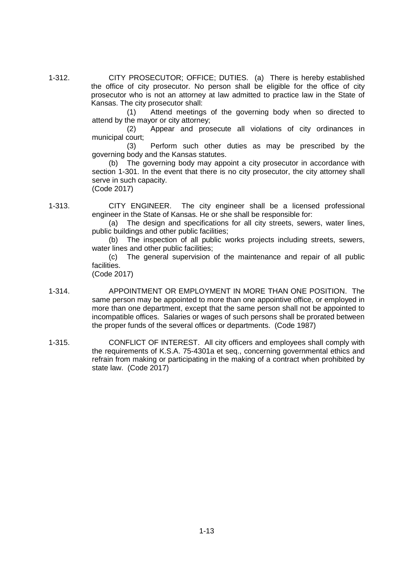1-312. CITY PROSECUTOR; OFFICE; DUTIES. (a) There is hereby established the office of city prosecutor. No person shall be eligible for the office of city prosecutor who is not an attorney at law admitted to practice law in the State of Kansas. The city prosecutor shall:

> (1) Attend meetings of the governing body when so directed to attend by the mayor or city attorney;

> (2) Appear and prosecute all violations of city ordinances in municipal court;

> (3) Perform such other duties as may be prescribed by the governing body and the Kansas statutes.

> (b) The governing body may appoint a city prosecutor in accordance with section 1-301. In the event that there is no city prosecutor, the city attorney shall serve in such capacity. (Code 2017)

1-313. CITY ENGINEER. The city engineer shall be a licensed professional engineer in the State of Kansas. He or she shall be responsible for:

> (a) The design and specifications for all city streets, sewers, water lines, public buildings and other public facilities;

> (b) The inspection of all public works projects including streets, sewers, water lines and other public facilities;

> (c) The general supervision of the maintenance and repair of all public facilities.

(Code 2017)

- 1-314. APPOINTMENT OR EMPLOYMENT IN MORE THAN ONE POSITION. The same person may be appointed to more than one appointive office, or employed in more than one department, except that the same person shall not be appointed to incompatible offices. Salaries or wages of such persons shall be prorated between the proper funds of the several offices or departments. (Code 1987)
- 1-315. CONFLICT OF INTEREST. All city officers and employees shall comply with the requirements of K.S.A. 75-4301a et seq., concerning governmental ethics and refrain from making or participating in the making of a contract when prohibited by state law. (Code 2017)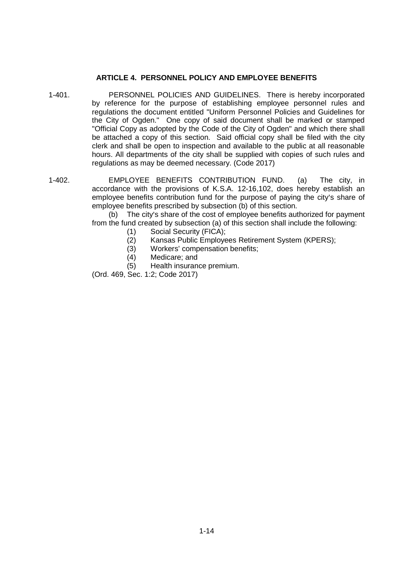## **ARTICLE 4. PERSONNEL POLICY AND EMPLOYEE BENEFITS**

- 1-401. PERSONNEL POLICIES AND GUIDELINES. There is hereby incorporated by reference for the purpose of establishing employee personnel rules and regulations the document entitled "Uniform Personnel Policies and Guidelines for the City of Ogden." One copy of said document shall be marked or stamped "Official Copy as adopted by the Code of the City of Ogden" and which there shall be attached a copy of this section. Said official copy shall be filed with the city clerk and shall be open to inspection and available to the public at all reasonable hours. All departments of the city shall be supplied with copies of such rules and regulations as may be deemed necessary. (Code 2017)
- 1-402. EMPLOYEE BENEFITS CONTRIBUTION FUND. (a) The city, in accordance with the provisions of K.S.A. 12-16,102, does hereby establish an employee benefits contribution fund for the purpose of paying the city's share of employee benefits prescribed by subsection (b) of this section.

(b) The city's share of the cost of employee benefits authorized for payment from the fund created by subsection (a) of this section shall include the following:

- (1) Social Security (FICA);
- (2) Kansas Public Employees Retirement System (KPERS);
- (3) Workers' compensation benefits;
- (4) Medicare; and
- (5) Health insurance premium.

(Ord. 469, Sec. 1:2; Code 2017)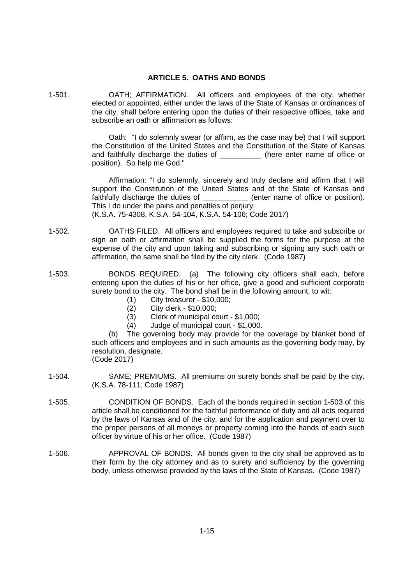## **ARTICLE 5. OATHS AND BONDS**

1-501. OATH; AFFIRMATION. All officers and employees of the city, whether elected or appointed, either under the laws of the State of Kansas or ordinances of the city, shall before entering upon the duties of their respective offices, take and subscribe an oath or affirmation as follows:

> Oath: "I do solemnly swear (or affirm, as the case may be) that I will support the Constitution of the United States and the Constitution of the State of Kansas and faithfully discharge the duties of \_\_\_\_\_\_\_\_\_\_ (here enter name of office or position). So help me God."

> Affirmation: "I do solemnly, sincerely and truly declare and affirm that I will support the Constitution of the United States and of the State of Kansas and faithfully discharge the duties of \_\_\_\_\_\_\_\_\_\_\_\_ (enter name of office or position). This I do under the pains and penalties of perjury. (K.S.A. 75-4308, K.S.A. 54-104, K.S.A. 54-106; Code 2017)

- 1-502. OATHS FILED. All officers and employees required to take and subscribe or sign an oath or affirmation shall be supplied the forms for the purpose at the expense of the city and upon taking and subscribing or signing any such oath or affirmation, the same shall be filed by the city clerk. (Code 1987)
- 1-503. BONDS REQUIRED. (a) The following city officers shall each, before entering upon the duties of his or her office, give a good and sufficient corporate surety bond to the city. The bond shall be in the following amount, to wit:
	- (1) City treasurer \$10,000;
	- (2) City clerk \$10,000;
	- (3) Clerk of municipal court \$1,000;
	- (4) Judge of municipal court \$1,000.

(b) The governing body may provide for the coverage by blanket bond of such officers and employees and in such amounts as the governing body may, by resolution, designate.

(Code 2017)

- 1-504. SAME; PREMIUMS. All premiums on surety bonds shall be paid by the city. (K.S.A. 78-111; Code 1987)
- 1-505. CONDITION OF BONDS. Each of the bonds required in section 1-503 of this article shall be conditioned for the faithful performance of duty and all acts required by the laws of Kansas and of the city, and for the application and payment over to the proper persons of all moneys or property coming into the hands of each such officer by virtue of his or her office. (Code 1987)
- 1-506. APPROVAL OF BONDS. All bonds given to the city shall be approved as to their form by the city attorney and as to surety and sufficiency by the governing body, unless otherwise provided by the laws of the State of Kansas. (Code 1987)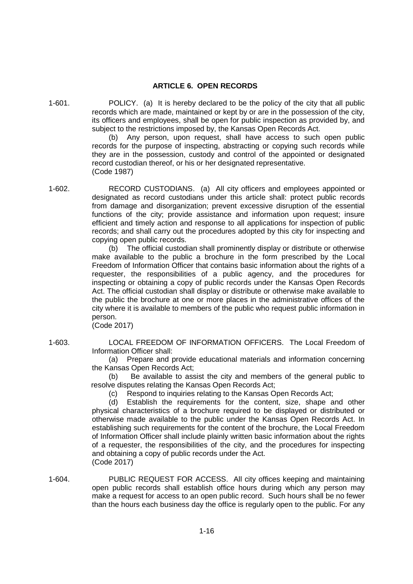#### **ARTICLE 6. OPEN RECORDS**

1-601. POLICY. (a) It is hereby declared to be the policy of the city that all public records which are made, maintained or kept by or are in the possession of the city, its officers and employees, shall be open for public inspection as provided by, and subject to the restrictions imposed by, the Kansas Open Records Act.

(b) Any person, upon request, shall have access to such open public records for the purpose of inspecting, abstracting or copying such records while they are in the possession, custody and control of the appointed or designated record custodian thereof, or his or her designated representative. (Code 1987)

1-602. RECORD CUSTODIANS. (a) All city officers and employees appointed or designated as record custodians under this article shall: protect public records from damage and disorganization; prevent excessive disruption of the essential functions of the city; provide assistance and information upon request; insure efficient and timely action and response to all applications for inspection of public records; and shall carry out the procedures adopted by this city for inspecting and copying open public records.

> (b) The official custodian shall prominently display or distribute or otherwise make available to the public a brochure in the form prescribed by the Local Freedom of Information Officer that contains basic information about the rights of a requester, the responsibilities of a public agency, and the procedures for inspecting or obtaining a copy of public records under the Kansas Open Records Act. The official custodian shall display or distribute or otherwise make available to the public the brochure at one or more places in the administrative offices of the city where it is available to members of the public who request public information in person.

(Code 2017)

1-603. LOCAL FREEDOM OF INFORMATION OFFICERS. The Local Freedom of Information Officer shall:

> (a) Prepare and provide educational materials and information concerning the Kansas Open Records Act;

> (b) Be available to assist the city and members of the general public to resolve disputes relating the Kansas Open Records Act;

(c) Respond to inquiries relating to the Kansas Open Records Act;

(d) Establish the requirements for the content, size, shape and other physical characteristics of a brochure required to be displayed or distributed or otherwise made available to the public under the Kansas Open Records Act. In establishing such requirements for the content of the brochure, the Local Freedom of Information Officer shall include plainly written basic information about the rights of a requester, the responsibilities of the city, and the procedures for inspecting and obtaining a copy of public records under the Act. (Code 2017)

1-604. PUBLIC REQUEST FOR ACCESS. All city offices keeping and maintaining open public records shall establish office hours during which any person may make a request for access to an open public record. Such hours shall be no fewer than the hours each business day the office is regularly open to the public. For any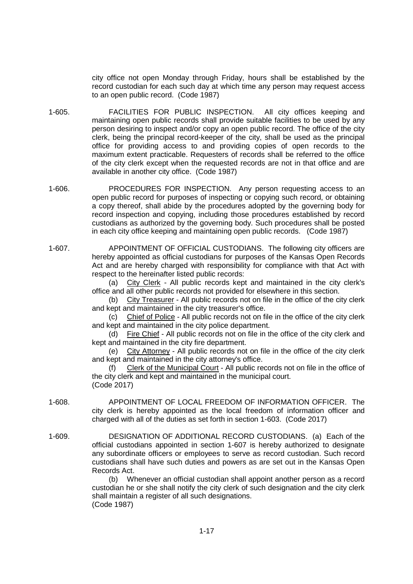city office not open Monday through Friday, hours shall be established by the record custodian for each such day at which time any person may request access to an open public record. (Code 1987)

- 1-605. FACILITIES FOR PUBLIC INSPECTION. All city offices keeping and maintaining open public records shall provide suitable facilities to be used by any person desiring to inspect and/or copy an open public record. The office of the city clerk, being the principal record-keeper of the city, shall be used as the principal office for providing access to and providing copies of open records to the maximum extent practicable. Requesters of records shall be referred to the office of the city clerk except when the requested records are not in that office and are available in another city office. (Code 1987)
- 1-606. PROCEDURES FOR INSPECTION. Any person requesting access to an open public record for purposes of inspecting or copying such record, or obtaining a copy thereof, shall abide by the procedures adopted by the governing body for record inspection and copying, including those procedures established by record custodians as authorized by the governing body. Such procedures shall be posted in each city office keeping and maintaining open public records. (Code 1987)
- 1-607. APPOINTMENT OF OFFICIAL CUSTODIANS. The following city officers are hereby appointed as official custodians for purposes of the Kansas Open Records Act and are hereby charged with responsibility for compliance with that Act with respect to the hereinafter listed public records:

(a) City Clerk - All public records kept and maintained in the city clerk's office and all other public records not provided for elsewhere in this section.

(b) City Treasurer - All public records not on file in the office of the city clerk and kept and maintained in the city treasurer's office.

(c) Chief of Police - All public records not on file in the office of the city clerk and kept and maintained in the city police department.

(d) Fire Chief - All public records not on file in the office of the city clerk and kept and maintained in the city fire department.

(e) City Attorney - All public records not on file in the office of the city clerk and kept and maintained in the city attorney's office.

Clerk of the Municipal Court - All public records not on file in the office of the city clerk and kept and maintained in the municipal court. (Code 2017)

- 1-608. APPOINTMENT OF LOCAL FREEDOM OF INFORMATION OFFICER. The city clerk is hereby appointed as the local freedom of information officer and charged with all of the duties as set forth in section 1-603. (Code 2017)
- 1-609. DESIGNATION OF ADDITIONAL RECORD CUSTODIANS. (a) Each of the official custodians appointed in section 1-607 is hereby authorized to designate any subordinate officers or employees to serve as record custodian. Such record custodians shall have such duties and powers as are set out in the Kansas Open Records Act.

(b) Whenever an official custodian shall appoint another person as a record custodian he or she shall notify the city clerk of such designation and the city clerk shall maintain a register of all such designations. (Code 1987)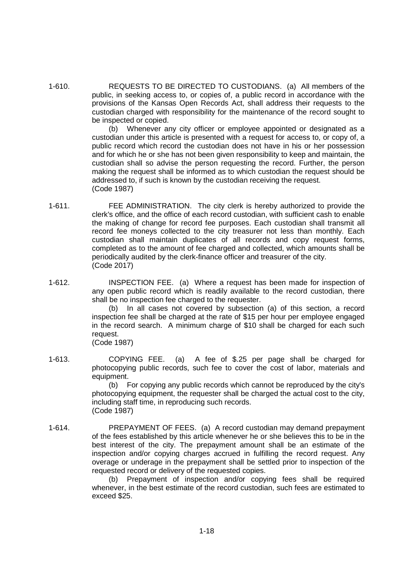1-610. REQUESTS TO BE DIRECTED TO CUSTODIANS. (a) All members of the public, in seeking access to, or copies of, a public record in accordance with the provisions of the Kansas Open Records Act, shall address their requests to the custodian charged with responsibility for the maintenance of the record sought to be inspected or copied.

> (b) Whenever any city officer or employee appointed or designated as a custodian under this article is presented with a request for access to, or copy of, a public record which record the custodian does not have in his or her possession and for which he or she has not been given responsibility to keep and maintain, the custodian shall so advise the person requesting the record. Further, the person making the request shall be informed as to which custodian the request should be addressed to, if such is known by the custodian receiving the request. (Code 1987)

- 1-611. FEE ADMINISTRATION. The city clerk is hereby authorized to provide the clerk's office, and the office of each record custodian, with sufficient cash to enable the making of change for record fee purposes. Each custodian shall transmit all record fee moneys collected to the city treasurer not less than monthly. Each custodian shall maintain duplicates of all records and copy request forms, completed as to the amount of fee charged and collected, which amounts shall be periodically audited by the clerk-finance officer and treasurer of the city. (Code 2017)
- 1-612. INSPECTION FEE. (a) Where a request has been made for inspection of any open public record which is readily available to the record custodian, there shall be no inspection fee charged to the requester.

(b) In all cases not covered by subsection (a) of this section, a record inspection fee shall be charged at the rate of \$15 per hour per employee engaged in the record search. A minimum charge of \$10 shall be charged for each such request.

(Code 1987)

1-613. COPYING FEE. (a) A fee of \$.25 per page shall be charged for photocopying public records, such fee to cover the cost of labor, materials and equipment.

(b) For copying any public records which cannot be reproduced by the city's photocopying equipment, the requester shall be charged the actual cost to the city, including staff time, in reproducing such records. (Code 1987)

1-614. PREPAYMENT OF FEES. (a) A record custodian may demand prepayment of the fees established by this article whenever he or she believes this to be in the best interest of the city. The prepayment amount shall be an estimate of the inspection and/or copying charges accrued in fulfilling the record request. Any overage or underage in the prepayment shall be settled prior to inspection of the requested record or delivery of the requested copies.

> (b) Prepayment of inspection and/or copying fees shall be required whenever, in the best estimate of the record custodian, such fees are estimated to exceed \$25.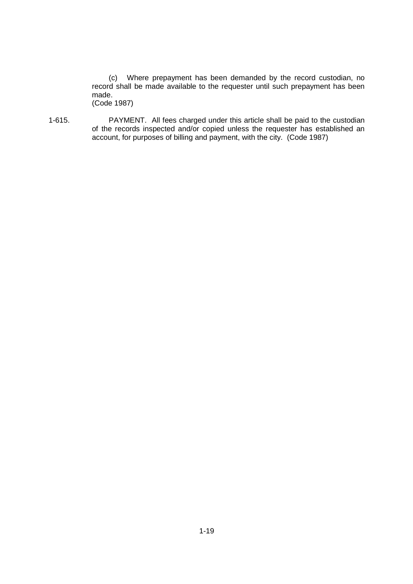(c) Where prepayment has been demanded by the record custodian, no record shall be made available to the requester until such prepayment has been made. (Code 1987)

1-615. PAYMENT. All fees charged under this article shall be paid to the custodian of the records inspected and/or copied unless the requester has established an account, for purposes of billing and payment, with the city. (Code 1987)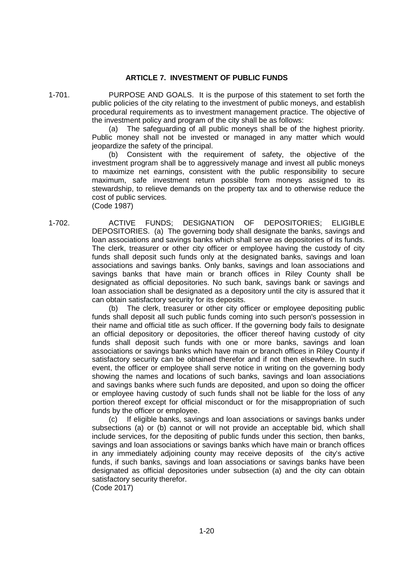## **ARTICLE 7. INVESTMENT OF PUBLIC FUNDS**

1-701. PURPOSE AND GOALS. It is the purpose of this statement to set forth the public policies of the city relating to the investment of public moneys, and establish procedural requirements as to investment management practice. The objective of the investment policy and program of the city shall be as follows:

(a) The safeguarding of all public moneys shall be of the highest priority. Public money shall not be invested or managed in any matter which would jeopardize the safety of the principal.

(b) Consistent with the requirement of safety, the objective of the investment program shall be to aggressively manage and invest all public moneys to maximize net earnings, consistent with the public responsibility to secure maximum, safe investment return possible from moneys assigned to its stewardship, to relieve demands on the property tax and to otherwise reduce the cost of public services. (Code 1987)

1-702. ACTIVE FUNDS; DESIGNATION OF DEPOSITORIES; ELIGIBLE DEPOSITORIES. (a) The governing body shall designate the banks, savings and loan associations and savings banks which shall serve as depositories of its funds. The clerk, treasurer or other city officer or employee having the custody of city funds shall deposit such funds only at the designated banks, savings and loan associations and savings banks. Only banks, savings and loan associations and savings banks that have main or branch offices in Riley County shall be designated as official depositories. No such bank, savings bank or savings and loan association shall be designated as a depository until the city is assured that it can obtain satisfactory security for its deposits.

> (b) The clerk, treasurer or other city officer or employee depositing public funds shall deposit all such public funds coming into such person's possession in their name and official title as such officer. If the governing body fails to designate an official depository or depositories, the officer thereof having custody of city funds shall deposit such funds with one or more banks, savings and loan associations or savings banks which have main or branch offices in Riley County if satisfactory security can be obtained therefor and if not then elsewhere. In such event, the officer or employee shall serve notice in writing on the governing body showing the names and locations of such banks, savings and loan associations and savings banks where such funds are deposited, and upon so doing the officer or employee having custody of such funds shall not be liable for the loss of any portion thereof except for official misconduct or for the misappropriation of such funds by the officer or employee.

> (c) If eligible banks, savings and loan associations or savings banks under subsections (a) or (b) cannot or will not provide an acceptable bid, which shall include services, for the depositing of public funds under this section, then banks, savings and loan associations or savings banks which have main or branch offices in any immediately adjoining county may receive deposits of the city's active funds, if such banks, savings and loan associations or savings banks have been designated as official depositories under subsection (a) and the city can obtain satisfactory security therefor.

(Code 2017)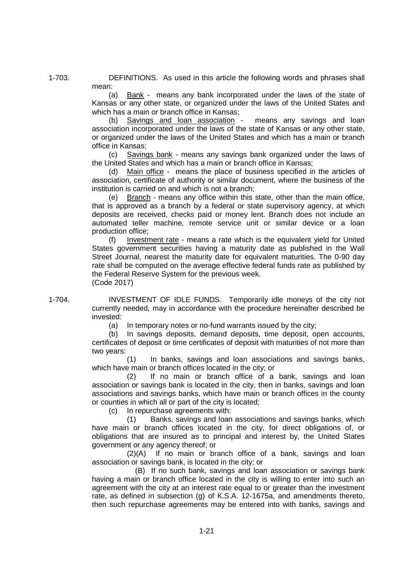1-703. DEFINITIONS. As used in this article the following words and phrases shall mean:

> (a) Bank - means any bank incorporated under the laws of the state of Kansas or any other state, or organized under the laws of the United States and which has a main or branch office in Kansas:

> Savings and loan association - means any savings and loan association incorporated under the laws of the state of Kansas or any other state, or organized under the laws of the United States and which has a main or branch office in Kansas;

> (c) Savings bank - means any savings bank organized under the laws of the United States and which has a main or branch office in Kansas;

> (d) Main office - means the place of business specified in the articles of association, certificate of authority or similar document, where the business of the institution is carried on and which is not a branch;

> (e) Branch - means any office within this state, other than the main office, that is approved as a branch by a federal or state supervisory agency, at which deposits are received, checks paid or money lent. Branch does not include an automated teller machine, remote service unit or similar device or a loan production office;

> (f) Investment rate - means a rate which is the equivalent yield for United States government securities having a maturity date as published in the Wall Street Journal, nearest the maturity date for equivalent maturities. The 0-90 day rate shall be computed on the average effective federal funds rate as published by the Federal Reserve System for the previous week. (Code 2017)

1-704. INVESTMENT OF IDLE FUNDS. Temporarily idle moneys of the city not currently needed, may in accordance with the procedure hereinafter described be invested:

(a) In temporary notes or no-fund warrants issued by the city;

(b) In savings deposits, demand deposits, time deposit, open accounts, certificates of deposit or time certificates of deposit with maturities of not more than two years:

(1) In banks, savings and loan associations and savings banks, which have main or branch offices located in the city; or

(2) If no main or branch office of a bank, savings and loan association or savings bank is located in the city, then in banks, savings and loan associations and savings banks, which have main or branch offices in the county or counties in which all or part of the city is located;

(c) In repurchase agreements with:

(1) Banks, savings and loan associations and savings banks, which have main or branch offices located in the city, for direct obligations of, or obligations that are insured as to principal and interest by, the United States government or any agency thereof; or

(2)(A) If no main or branch office of a bank, savings and loan association or savings bank, is located in the city; or

(B) If no such bank, savings and loan association or savings bank having a main or branch office located in the city is willing to enter into such an agreement with the city at an interest rate equal to or greater than the investment rate, as defined in subsection (g) of K.S.A. 12-1675a, and amendments thereto, then such repurchase agreements may be entered into with banks, savings and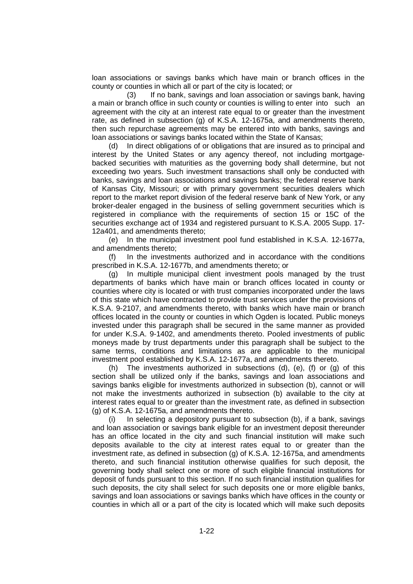loan associations or savings banks which have main or branch offices in the county or counties in which all or part of the city is located; or

(3) If no bank, savings and loan association or savings bank, having a main or branch office in such county or counties is willing to enter into such an agreement with the city at an interest rate equal to or greater than the investment rate, as defined in subsection (g) of K.S.A. 12-1675a, and amendments thereto, then such repurchase agreements may be entered into with banks, savings and loan associations or savings banks located within the State of Kansas;

(d) In direct obligations of or obligations that are insured as to principal and interest by the United States or any agency thereof, not including mortgagebacked securities with maturities as the governing body shall determine, but not exceeding two years. Such investment transactions shall only be conducted with banks, savings and loan associations and savings banks; the federal reserve bank of Kansas City, Missouri; or with primary government securities dealers which report to the market report division of the federal reserve bank of New York, or any broker-dealer engaged in the business of selling government securities which is registered in compliance with the requirements of section 15 or 15C of the securities exchange act of 1934 and registered pursuant to K.S.A. 2005 Supp. 17- 12a401, and amendments thereto;

(e) In the municipal investment pool fund established in K.S.A. 12-1677a, and amendments thereto;

(f) In the investments authorized and in accordance with the conditions prescribed in K.S.A. 12-1677b, and amendments thereto; or

(g) In multiple municipal client investment pools managed by the trust departments of banks which have main or branch offices located in county or counties where city is located or with trust companies incorporated under the laws of this state which have contracted to provide trust services under the provisions of K.S.A. 9-2107, and amendments thereto, with banks which have main or branch offices located in the county or counties in which Ogden is located. Public moneys invested under this paragraph shall be secured in the same manner as provided for under K.S.A. 9-1402, and amendments thereto. Pooled investments of public moneys made by trust departments under this paragraph shall be subject to the same terms, conditions and limitations as are applicable to the municipal investment pool established by K.S.A. 12-1677a, and amendments thereto.

(h) The investments authorized in subsections (d), (e), (f) or (g) of this section shall be utilized only if the banks, savings and loan associations and savings banks eligible for investments authorized in subsection (b), cannot or will not make the investments authorized in subsection (b) available to the city at interest rates equal to or greater than the investment rate, as defined in subsection (g) of K.S.A. 12-1675a, and amendments thereto.

(i) In selecting a depository pursuant to subsection (b), if a bank, savings and loan association or savings bank eligible for an investment deposit thereunder has an office located in the city and such financial institution will make such deposits available to the city at interest rates equal to or greater than the investment rate, as defined in subsection (g) of K.S.A. 12-1675a, and amendments thereto, and such financial institution otherwise qualifies for such deposit, the governing body shall select one or more of such eligible financial institutions for deposit of funds pursuant to this section. If no such financial institution qualifies for such deposits, the city shall select for such deposits one or more eligible banks, savings and loan associations or savings banks which have offices in the county or counties in which all or a part of the city is located which will make such deposits